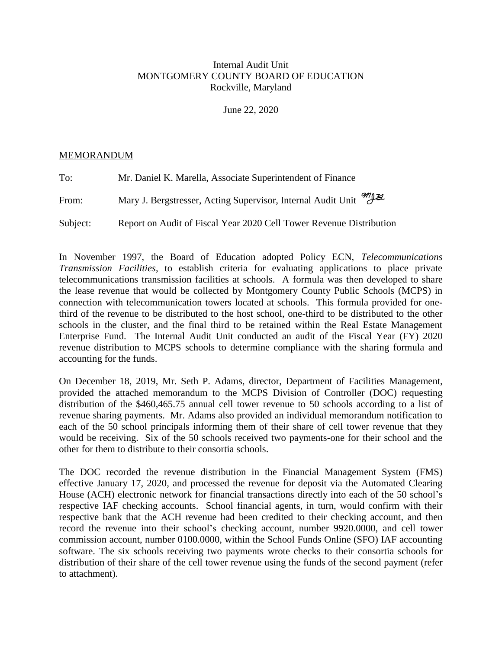## Internal Audit Unit MONTGOMERY COUNTY BOARD OF EDUCATION Rockville, Maryland

June 22, 2020

## MEMORANDUM

| To:      | Mr. Daniel K. Marella, Associate Superintendent of Finance                  |
|----------|-----------------------------------------------------------------------------|
| From:    | Mary J. Bergstresser, Acting Supervisor, Internal Audit Unit <sup>971</sup> |
| Subject: | Report on Audit of Fiscal Year 2020 Cell Tower Revenue Distribution         |

In November 1997, the Board of Education adopted Policy ECN, *Telecommunications Transmission Facilities*, to establish criteria for evaluating applications to place private telecommunications transmission facilities at schools. A formula was then developed to share the lease revenue that would be collected by Montgomery County Public Schools (MCPS) in connection with telecommunication towers located at schools. This formula provided for onethird of the revenue to be distributed to the host school, one-third to be distributed to the other schools in the cluster, and the final third to be retained within the Real Estate Management Enterprise Fund. The Internal Audit Unit conducted an audit of the Fiscal Year (FY) 2020 revenue distribution to MCPS schools to determine compliance with the sharing formula and accounting for the funds.

On December 18, 2019, Mr. Seth P. Adams, director, Department of Facilities Management, provided the attached memorandum to the MCPS Division of Controller (DOC) requesting distribution of the \$460,465.75 annual cell tower revenue to 50 schools according to a list of revenue sharing payments. Mr. Adams also provided an individual memorandum notification to each of the 50 school principals informing them of their share of cell tower revenue that they would be receiving. Six of the 50 schools received two payments-one for their school and the other for them to distribute to their consortia schools.

The DOC recorded the revenue distribution in the Financial Management System (FMS) effective January 17, 2020, and processed the revenue for deposit via the Automated Clearing House (ACH) electronic network for financial transactions directly into each of the 50 school's respective IAF checking accounts. School financial agents, in turn, would confirm with their respective bank that the ACH revenue had been credited to their checking account, and then record the revenue into their school's checking account, number 9920.0000, and cell tower commission account, number 0100.0000, within the School Funds Online (SFO) IAF accounting software. The six schools receiving two payments wrote checks to their consortia schools for distribution of their share of the cell tower revenue using the funds of the second payment (refer to attachment).